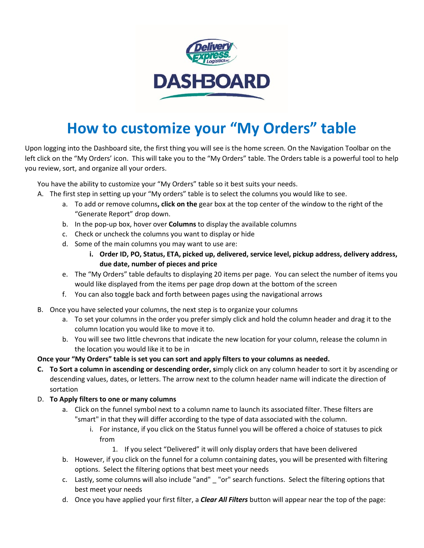

## **How to customize your "My Orders" table**

Upon logging into the Dashboard site, the first thing you will see is the home screen. On the Navigation Toolbar on the left click on the "My Orders' icon. This will take you to the "My Orders" table. The Orders table is a powerful tool to help you review, sort, and organize all your orders.

You have the ability to customize your "My Orders" table so it best suits your needs.

- A. The first step in setting up your "My orders" table is to select the columns you would like to see.
	- a. To add or remove columns**, click on the** gear box at the top center of the window to the right of the "Generate Report" drop down.
	- b. In the pop-up box, hover over **Columns** to display the available columns
	- c. Check or uncheck the columns you want to display or hide
	- d. Some of the main columns you may want to use are:
		- **i. Order ID, PO, Status, ETA, picked up, delivered, service level, pickup address, delivery address, due date, number of pieces and price**
	- e. The "My Orders" table defaults to displaying 20 items per page. You can select the number of items you would like displayed from the items per page drop down at the bottom of the screen
	- f. You can also toggle back and forth between pages using the navigational arrows
- B. Once you have selected your columns, the next step is to organize your columns
	- a. To set your columns in the order you prefer simply click and hold the column header and drag it to the column location you would like to move it to.
	- b. You will see two little chevrons that indicate the new location for your column, release the column in the location you would like it to be in
- **Once your "My Orders" table is set you can sort and apply filters to your columns as needed.**
- **C. To Sort a column in ascending or descending order, s**imply click on any column header to sort it by ascending or descending values, dates, or letters. The arrow next to the column header name will indicate the direction of sortation
- D. **To Apply filters to one or many columns**
	- a. Click on the funnel symbol next to a column name to launch its associated filter. These filters are "smart" in that they will differ according to the type of data associated with the column.
		- i. For instance, if you click on the Status funnel you will be offered a choice of statuses to pick from
			- 1. If you select "Delivered" it will only display orders that have been delivered
	- b. However, if you click on the funnel for a column containing dates, you will be presented with filtering options. Select the filtering options that best meet your needs
	- c. Lastly, some columns will also include "and" \_ "or" search functions. Select the filtering options that best meet your needs
	- d. Once you have applied your first filter, a *Clear All Filters* button will appear near the top of the page: